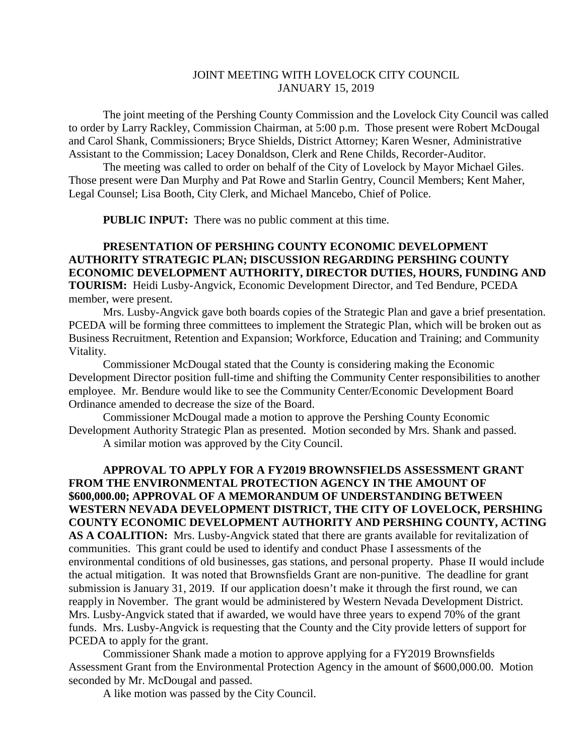## JOINT MEETING WITH LOVELOCK CITY COUNCIL JANUARY 15, 2019

The joint meeting of the Pershing County Commission and the Lovelock City Council was called to order by Larry Rackley, Commission Chairman, at 5:00 p.m. Those present were Robert McDougal and Carol Shank, Commissioners; Bryce Shields, District Attorney; Karen Wesner, Administrative Assistant to the Commission; Lacey Donaldson, Clerk and Rene Childs, Recorder-Auditor.

The meeting was called to order on behalf of the City of Lovelock by Mayor Michael Giles. Those present were Dan Murphy and Pat Rowe and Starlin Gentry, Council Members; Kent Maher, Legal Counsel; Lisa Booth, City Clerk, and Michael Mancebo, Chief of Police.

**PUBLIC INPUT:** There was no public comment at this time.

## **PRESENTATION OF PERSHING COUNTY ECONOMIC DEVELOPMENT AUTHORITY STRATEGIC PLAN; DISCUSSION REGARDING PERSHING COUNTY ECONOMIC DEVELOPMENT AUTHORITY, DIRECTOR DUTIES, HOURS, FUNDING AND TOURISM:** Heidi Lusby-Angvick, Economic Development Director, and Ted Bendure, PCEDA member, were present.

Mrs. Lusby-Angvick gave both boards copies of the Strategic Plan and gave a brief presentation. PCEDA will be forming three committees to implement the Strategic Plan, which will be broken out as Business Recruitment, Retention and Expansion; Workforce, Education and Training; and Community Vitality.

Commissioner McDougal stated that the County is considering making the Economic Development Director position full-time and shifting the Community Center responsibilities to another employee. Mr. Bendure would like to see the Community Center/Economic Development Board Ordinance amended to decrease the size of the Board.

Commissioner McDougal made a motion to approve the Pershing County Economic Development Authority Strategic Plan as presented. Motion seconded by Mrs. Shank and passed.

A similar motion was approved by the City Council.

**APPROVAL TO APPLY FOR A FY2019 BROWNSFIELDS ASSESSMENT GRANT FROM THE ENVIRONMENTAL PROTECTION AGENCY IN THE AMOUNT OF \$600,000.00; APPROVAL OF A MEMORANDUM OF UNDERSTANDING BETWEEN WESTERN NEVADA DEVELOPMENT DISTRICT, THE CITY OF LOVELOCK, PERSHING COUNTY ECONOMIC DEVELOPMENT AUTHORITY AND PERSHING COUNTY, ACTING AS A COALITION:** Mrs. Lusby-Angvick stated that there are grants available for revitalization of communities. This grant could be used to identify and conduct Phase I assessments of the environmental conditions of old businesses, gas stations, and personal property. Phase II would include the actual mitigation. It was noted that Brownsfields Grant are non-punitive. The deadline for grant submission is January 31, 2019. If our application doesn't make it through the first round, we can reapply in November. The grant would be administered by Western Nevada Development District. Mrs. Lusby-Angvick stated that if awarded, we would have three years to expend 70% of the grant funds. Mrs. Lusby-Angvick is requesting that the County and the City provide letters of support for PCEDA to apply for the grant.

Commissioner Shank made a motion to approve applying for a FY2019 Brownsfields Assessment Grant from the Environmental Protection Agency in the amount of \$600,000.00. Motion seconded by Mr. McDougal and passed.

A like motion was passed by the City Council.